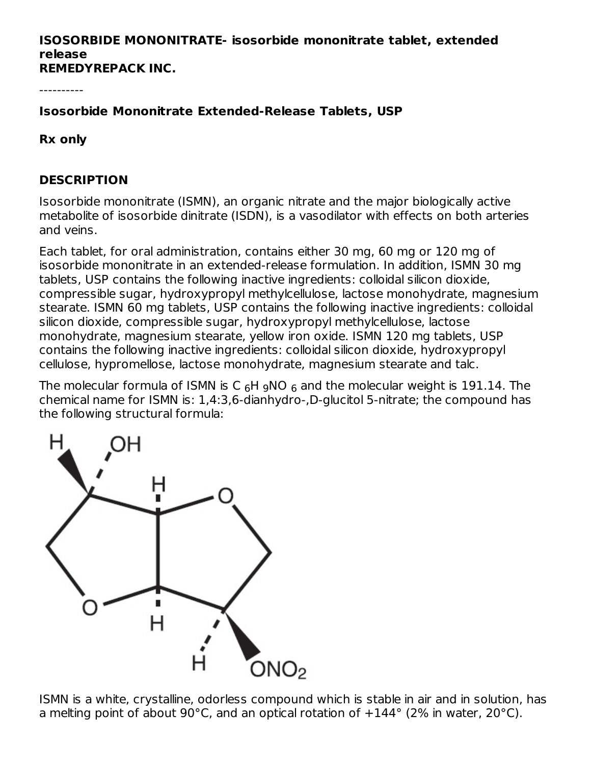#### **ISOSORBIDE MONONITRATE- isosorbide mononitrate tablet, extended release REMEDYREPACK INC.**

----------

**Isosorbide Mononitrate Extended-Release Tablets, USP**

**Rx only**

#### **DESCRIPTION**

Isosorbide mononitrate (ISMN), an organic nitrate and the major biologically active metabolite of isosorbide dinitrate (ISDN), is a vasodilator with effects on both arteries and veins.

Each tablet, for oral administration, contains either 30 mg, 60 mg or 120 mg of isosorbide mononitrate in an extended-release formulation. In addition, ISMN 30 mg tablets, USP contains the following inactive ingredients: colloidal silicon dioxide, compressible sugar, hydroxypropyl methylcellulose, lactose monohydrate, magnesium stearate. ISMN 60 mg tablets, USP contains the following inactive ingredients: colloidal silicon dioxide, compressible sugar, hydroxypropyl methylcellulose, lactose monohydrate, magnesium stearate, yellow iron oxide. ISMN 120 mg tablets, USP contains the following inactive ingredients: colloidal silicon dioxide, hydroxypropyl cellulose, hypromellose, lactose monohydrate, magnesium stearate and talc.

The molecular formula of ISMN is C  $_6$ H  $_9$ NO  $_6$  and the molecular weight is 191.14. The chemical name for ISMN is: 1,4:3,6-dianhydro-,D-glucitol 5-nitrate; the compound has the following structural formula:



ISMN is a white, crystalline, odorless compound which is stable in air and in solution, has a melting point of about 90°C, and an optical rotation of  $+144^{\circ}$  (2% in water, 20°C).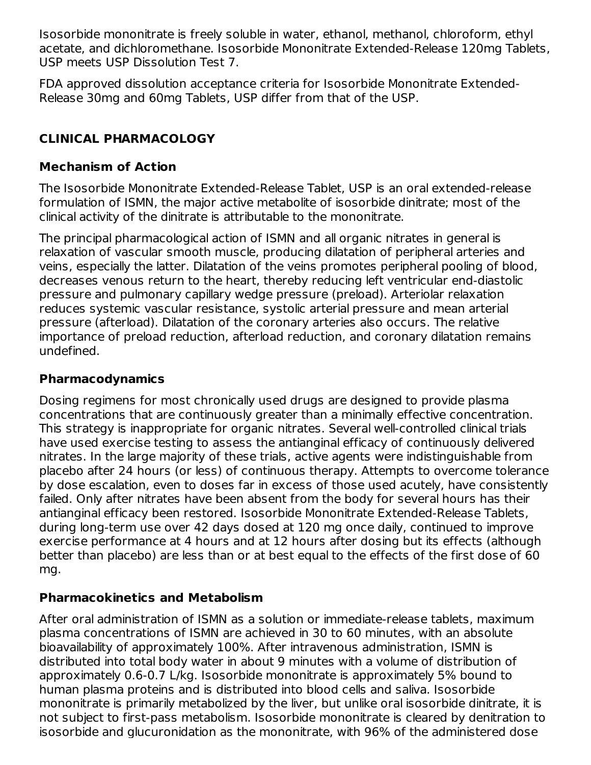Isosorbide mononitrate is freely soluble in water, ethanol, methanol, chloroform, ethyl acetate, and dichloromethane. Isosorbide Mononitrate Extended-Release 120mg Tablets, USP meets USP Dissolution Test 7.

FDA approved dissolution acceptance criteria for Isosorbide Mononitrate Extended-Release 30mg and 60mg Tablets, USP differ from that of the USP.

## **CLINICAL PHARMACOLOGY**

#### **Mechanism of Action**

The Isosorbide Mononitrate Extended-Release Tablet, USP is an oral extended-release formulation of ISMN, the major active metabolite of isosorbide dinitrate; most of the clinical activity of the dinitrate is attributable to the mononitrate.

The principal pharmacological action of ISMN and all organic nitrates in general is relaxation of vascular smooth muscle, producing dilatation of peripheral arteries and veins, especially the latter. Dilatation of the veins promotes peripheral pooling of blood, decreases venous return to the heart, thereby reducing left ventricular end-diastolic pressure and pulmonary capillary wedge pressure (preload). Arteriolar relaxation reduces systemic vascular resistance, systolic arterial pressure and mean arterial pressure (afterload). Dilatation of the coronary arteries also occurs. The relative importance of preload reduction, afterload reduction, and coronary dilatation remains undefined.

#### **Pharmacodynamics**

Dosing regimens for most chronically used drugs are designed to provide plasma concentrations that are continuously greater than a minimally effective concentration. This strategy is inappropriate for organic nitrates. Several well-controlled clinical trials have used exercise testing to assess the antianginal efficacy of continuously delivered nitrates. In the large majority of these trials, active agents were indistinguishable from placebo after 24 hours (or less) of continuous therapy. Attempts to overcome tolerance by dose escalation, even to doses far in excess of those used acutely, have consistently failed. Only after nitrates have been absent from the body for several hours has their antianginal efficacy been restored. Isosorbide Mononitrate Extended-Release Tablets, during long-term use over 42 days dosed at 120 mg once daily, continued to improve exercise performance at 4 hours and at 12 hours after dosing but its effects (although better than placebo) are less than or at best equal to the effects of the first dose of 60 mg.

#### **Pharmacokinetics and Metabolism**

After oral administration of ISMN as a solution or immediate-release tablets, maximum plasma concentrations of ISMN are achieved in 30 to 60 minutes, with an absolute bioavailability of approximately 100%. After intravenous administration, ISMN is distributed into total body water in about 9 minutes with a volume of distribution of approximately 0.6-0.7 L/kg. Isosorbide mononitrate is approximately 5% bound to human plasma proteins and is distributed into blood cells and saliva. Isosorbide mononitrate is primarily metabolized by the liver, but unlike oral isosorbide dinitrate, it is not subject to first-pass metabolism. Isosorbide mononitrate is cleared by denitration to isosorbide and glucuronidation as the mononitrate, with 96% of the administered dose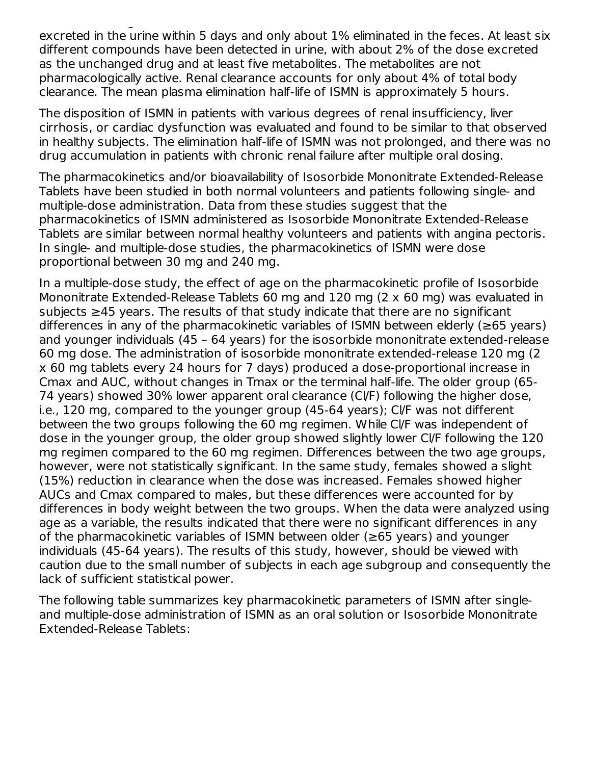excreted in the urine within 5 days and only about 1% eliminated in the feces. At least six different compounds have been detected in urine, with about 2% of the dose excreted as the unchanged drug and at least five metabolites. The metabolites are not pharmacologically active. Renal clearance accounts for only about 4% of total body clearance. The mean plasma elimination half-life of ISMN is approximately 5 hours.

isosorbide and glucuronidation as the mononitrate, with 96% of the administered dose

The disposition of ISMN in patients with various degrees of renal insufficiency, liver cirrhosis, or cardiac dysfunction was evaluated and found to be similar to that observed in healthy subjects. The elimination half-life of ISMN was not prolonged, and there was no drug accumulation in patients with chronic renal failure after multiple oral dosing.

The pharmacokinetics and/or bioavailability of Isosorbide Mononitrate Extended-Release Tablets have been studied in both normal volunteers and patients following single- and multiple-dose administration. Data from these studies suggest that the pharmacokinetics of ISMN administered as Isosorbide Mononitrate Extended-Release Tablets are similar between normal healthy volunteers and patients with angina pectoris. In single- and multiple-dose studies, the pharmacokinetics of ISMN were dose proportional between 30 mg and 240 mg.

In a multiple-dose study, the effect of age on the pharmacokinetic profile of Isosorbide Mononitrate Extended-Release Tablets 60 mg and 120 mg (2 x 60 mg) was evaluated in subjects ≥45 years. The results of that study indicate that there are no significant differences in any of the pharmacokinetic variables of ISMN between elderly (≥65 years) and younger individuals (45 – 64 years) for the isosorbide mononitrate extended-release 60 mg dose. The administration of isosorbide mononitrate extended-release 120 mg (2 x 60 mg tablets every 24 hours for 7 days) produced a dose-proportional increase in Cmax and AUC, without changes in Tmax or the terminal half-life. The older group (65- 74 years) showed 30% lower apparent oral clearance (Cl/F) following the higher dose, i.e., 120 mg, compared to the younger group (45-64 years); Cl/F was not different between the two groups following the 60 mg regimen. While Cl/F was independent of dose in the younger group, the older group showed slightly lower Cl/F following the 120 mg regimen compared to the 60 mg regimen. Differences between the two age groups, however, were not statistically significant. In the same study, females showed a slight (15%) reduction in clearance when the dose was increased. Females showed higher AUCs and Cmax compared to males, but these differences were accounted for by differences in body weight between the two groups. When the data were analyzed using age as a variable, the results indicated that there were no significant differences in any of the pharmacokinetic variables of ISMN between older (≥65 years) and younger individuals (45-64 years). The results of this study, however, should be viewed with caution due to the small number of subjects in each age subgroup and consequently the lack of sufficient statistical power.

The following table summarizes key pharmacokinetic parameters of ISMN after singleand multiple-dose administration of ISMN as an oral solution or Isosorbide Mononitrate Extended-Release Tablets: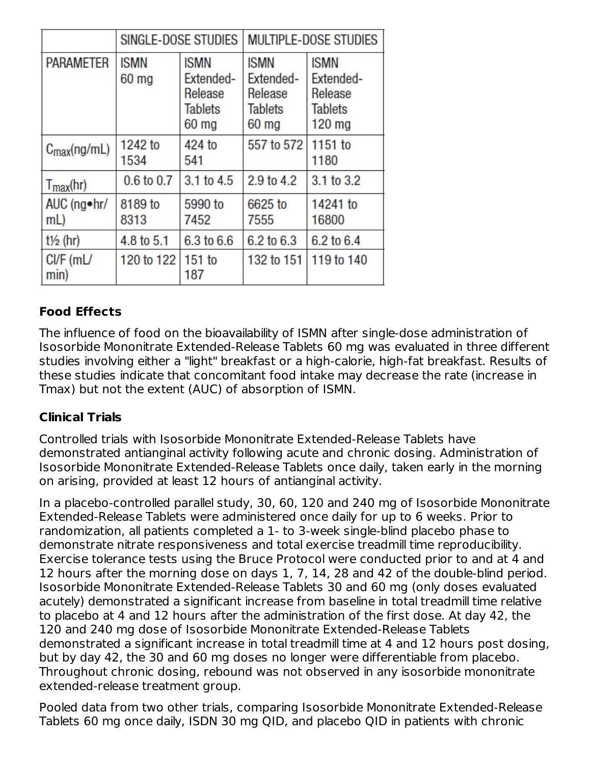|                         |                                 | SINGLE-DOSE STUDIES                                            | <b>MULTIPLE-DOSE STUDIES</b>                                     |                                                                   |  |
|-------------------------|---------------------------------|----------------------------------------------------------------|------------------------------------------------------------------|-------------------------------------------------------------------|--|
| <b>PARAMETER</b>        | <b>ISMN</b><br>60 <sub>mg</sub> | <b>ISMN</b><br>Extended-<br>Release<br><b>Tablets</b><br>60 mg | <b>ISMN</b><br>Extended-<br>Release<br><b>Tablets</b><br>$60$ mg | <b>ISMN</b><br>Extended-<br>Release<br><b>Tablets</b><br>$120$ mg |  |
| $C_{\text{max}}(ng/mL)$ | 1242 to<br>1534                 | 424 to<br>541                                                  | 557 to 572                                                       | $1151$ to<br>1180                                                 |  |
| $T_{\text{max}}$ (hr)   | 0.6 to 0.7                      | 3.1 to 4.5                                                     | 2.9 to 4.2                                                       | 3.1 to 3.2                                                        |  |
| AUC (ng•hr/<br>mL       | 8189 to<br>8313                 | 5990 to<br>7452                                                | 6625 to<br>7555                                                  | 14241 to<br>16800                                                 |  |
| $t\frac{1}{2}$ (hr)     | 4.8 to 5.1                      | 6.3 to 6.6                                                     | 6.2 to 6.3                                                       | 6.2 to 6.4                                                        |  |
| C V F (m)<br>min)       | 120 to 122                      | $151$ to<br>187                                                | 132 to 151                                                       | 119 to 140                                                        |  |

## **Food Effects**

The influence of food on the bioavailability of ISMN after single-dose administration of Isosorbide Mononitrate Extended-Release Tablets 60 mg was evaluated in three different studies involving either a "light" breakfast or a high-calorie, high-fat breakfast. Results of these studies indicate that concomitant food intake may decrease the rate (increase in Tmax) but not the extent (AUC) of absorption of ISMN.

### **Clinical Trials**

Controlled trials with Isosorbide Mononitrate Extended-Release Tablets have demonstrated antianginal activity following acute and chronic dosing. Administration of Isosorbide Mononitrate Extended-Release Tablets once daily, taken early in the morning on arising, provided at least 12 hours of antianginal activity.

In a placebo-controlled parallel study, 30, 60, 120 and 240 mg of Isosorbide Mononitrate Extended-Release Tablets were administered once daily for up to 6 weeks. Prior to randomization, all patients completed a 1- to 3-week single-blind placebo phase to demonstrate nitrate responsiveness and total exercise treadmill time reproducibility. Exercise tolerance tests using the Bruce Protocol were conducted prior to and at 4 and 12 hours after the morning dose on days 1, 7, 14, 28 and 42 of the double-blind period. Isosorbide Mononitrate Extended-Release Tablets 30 and 60 mg (only doses evaluated acutely) demonstrated a significant increase from baseline in total treadmill time relative to placebo at 4 and 12 hours after the administration of the first dose. At day 42, the 120 and 240 mg dose of Isosorbide Mononitrate Extended-Release Tablets demonstrated a significant increase in total treadmill time at 4 and 12 hours post dosing, but by day 42, the 30 and 60 mg doses no longer were differentiable from placebo. Throughout chronic dosing, rebound was not observed in any isosorbide mononitrate extended-release treatment group.

Pooled data from two other trials, comparing Isosorbide Mononitrate Extended-Release Tablets 60 mg once daily, ISDN 30 mg QID, and placebo QID in patients with chronic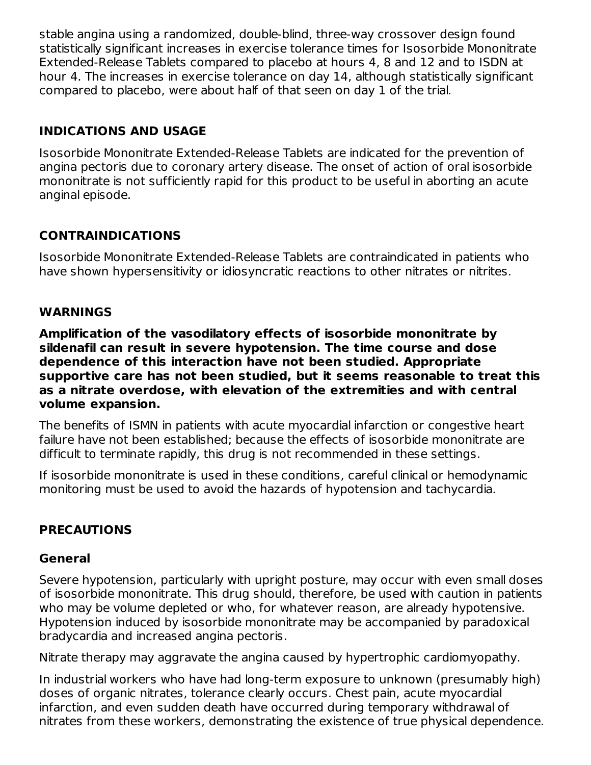stable angina using a randomized, double-blind, three-way crossover design found statistically significant increases in exercise tolerance times for Isosorbide Mononitrate Extended-Release Tablets compared to placebo at hours 4, 8 and 12 and to ISDN at hour 4. The increases in exercise tolerance on day 14, although statistically significant compared to placebo, were about half of that seen on day 1 of the trial.

## **INDICATIONS AND USAGE**

Isosorbide Mononitrate Extended-Release Tablets are indicated for the prevention of angina pectoris due to coronary artery disease. The onset of action of oral isosorbide mononitrate is not sufficiently rapid for this product to be useful in aborting an acute anginal episode.

## **CONTRAINDICATIONS**

Isosorbide Mononitrate Extended-Release Tablets are contraindicated in patients who have shown hypersensitivity or idiosyncratic reactions to other nitrates or nitrites.

#### **WARNINGS**

**Amplification of the vasodilatory effects of isosorbide mononitrate by sildenafil can result in severe hypotension. The time course and dose dependence of this interaction have not been studied. Appropriate supportive care has not been studied, but it seems reasonable to treat this as a nitrate overdose, with elevation of the extremities and with central volume expansion.**

The benefits of ISMN in patients with acute myocardial infarction or congestive heart failure have not been established; because the effects of isosorbide mononitrate are difficult to terminate rapidly, this drug is not recommended in these settings.

If isosorbide mononitrate is used in these conditions, careful clinical or hemodynamic monitoring must be used to avoid the hazards of hypotension and tachycardia.

## **PRECAUTIONS**

#### **General**

Severe hypotension, particularly with upright posture, may occur with even small doses of isosorbide mononitrate. This drug should, therefore, be used with caution in patients who may be volume depleted or who, for whatever reason, are already hypotensive. Hypotension induced by isosorbide mononitrate may be accompanied by paradoxical bradycardia and increased angina pectoris.

Nitrate therapy may aggravate the angina caused by hypertrophic cardiomyopathy.

In industrial workers who have had long-term exposure to unknown (presumably high) doses of organic nitrates, tolerance clearly occurs. Chest pain, acute myocardial infarction, and even sudden death have occurred during temporary withdrawal of nitrates from these workers, demonstrating the existence of true physical dependence.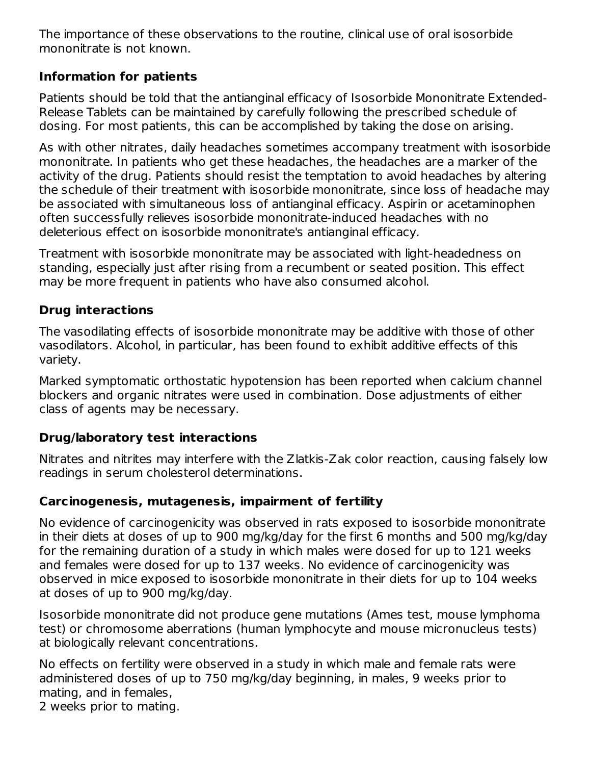The importance of these observations to the routine, clinical use of oral isosorbide mononitrate is not known.

#### **Information for patients**

Patients should be told that the antianginal efficacy of Isosorbide Mononitrate Extended-Release Tablets can be maintained by carefully following the prescribed schedule of dosing. For most patients, this can be accomplished by taking the dose on arising.

As with other nitrates, daily headaches sometimes accompany treatment with isosorbide mononitrate. In patients who get these headaches, the headaches are a marker of the activity of the drug. Patients should resist the temptation to avoid headaches by altering the schedule of their treatment with isosorbide mononitrate, since loss of headache may be associated with simultaneous loss of antianginal efficacy. Aspirin or acetaminophen often successfully relieves isosorbide mononitrate-induced headaches with no deleterious effect on isosorbide mononitrate's antianginal efficacy.

Treatment with isosorbide mononitrate may be associated with light-headedness on standing, especially just after rising from a recumbent or seated position. This effect may be more frequent in patients who have also consumed alcohol.

### **Drug interactions**

The vasodilating effects of isosorbide mononitrate may be additive with those of other vasodilators. Alcohol, in particular, has been found to exhibit additive effects of this variety.

Marked symptomatic orthostatic hypotension has been reported when calcium channel blockers and organic nitrates were used in combination. Dose adjustments of either class of agents may be necessary.

### **Drug/laboratory test interactions**

Nitrates and nitrites may interfere with the Zlatkis-Zak color reaction, causing falsely low readings in serum cholesterol determinations.

### **Carcinogenesis, mutagenesis, impairment of fertility**

No evidence of carcinogenicity was observed in rats exposed to isosorbide mononitrate in their diets at doses of up to 900 mg/kg/day for the first 6 months and 500 mg/kg/day for the remaining duration of a study in which males were dosed for up to 121 weeks and females were dosed for up to 137 weeks. No evidence of carcinogenicity was observed in mice exposed to isosorbide mononitrate in their diets for up to 104 weeks at doses of up to 900 mg/kg/day.

Isosorbide mononitrate did not produce gene mutations (Ames test, mouse lymphoma test) or chromosome aberrations (human lymphocyte and mouse micronucleus tests) at biologically relevant concentrations.

No effects on fertility were observed in a study in which male and female rats were administered doses of up to 750 mg/kg/day beginning, in males, 9 weeks prior to mating, and in females,

2 weeks prior to mating.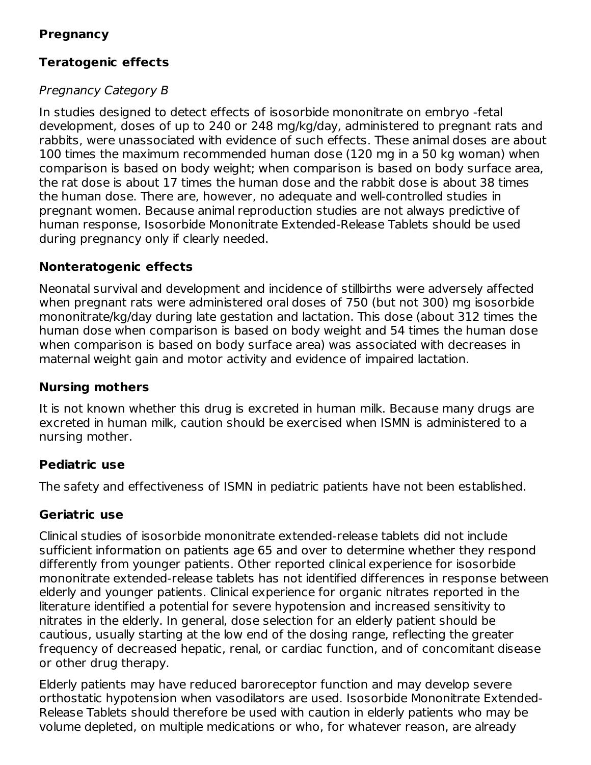#### **Pregnancy**

### **Teratogenic effects**

#### Pregnancy Category B

In studies designed to detect effects of isosorbide mononitrate on embryo -fetal development, doses of up to 240 or 248 mg/kg/day, administered to pregnant rats and rabbits, were unassociated with evidence of such effects. These animal doses are about 100 times the maximum recommended human dose (120 mg in a 50 kg woman) when comparison is based on body weight; when comparison is based on body surface area, the rat dose is about 17 times the human dose and the rabbit dose is about 38 times the human dose. There are, however, no adequate and well-controlled studies in pregnant women. Because animal reproduction studies are not always predictive of human response, Isosorbide Mononitrate Extended-Release Tablets should be used during pregnancy only if clearly needed.

#### **Nonteratogenic effects**

Neonatal survival and development and incidence of stillbirths were adversely affected when pregnant rats were administered oral doses of 750 (but not 300) mg isosorbide mononitrate/kg/day during late gestation and lactation. This dose (about 312 times the human dose when comparison is based on body weight and 54 times the human dose when comparison is based on body surface area) was associated with decreases in maternal weight gain and motor activity and evidence of impaired lactation.

#### **Nursing mothers**

It is not known whether this drug is excreted in human milk. Because many drugs are excreted in human milk, caution should be exercised when ISMN is administered to a nursing mother.

#### **Pediatric use**

The safety and effectiveness of ISMN in pediatric patients have not been established.

#### **Geriatric use**

Clinical studies of isosorbide mononitrate extended-release tablets did not include sufficient information on patients age 65 and over to determine whether they respond differently from younger patients. Other reported clinical experience for isosorbide mononitrate extended-release tablets has not identified differences in response between elderly and younger patients. Clinical experience for organic nitrates reported in the literature identified a potential for severe hypotension and increased sensitivity to nitrates in the elderly. In general, dose selection for an elderly patient should be cautious, usually starting at the low end of the dosing range, reflecting the greater frequency of decreased hepatic, renal, or cardiac function, and of concomitant disease or other drug therapy.

Elderly patients may have reduced baroreceptor function and may develop severe orthostatic hypotension when vasodilators are used. Isosorbide Mononitrate Extended-Release Tablets should therefore be used with caution in elderly patients who may be volume depleted, on multiple medications or who, for whatever reason, are already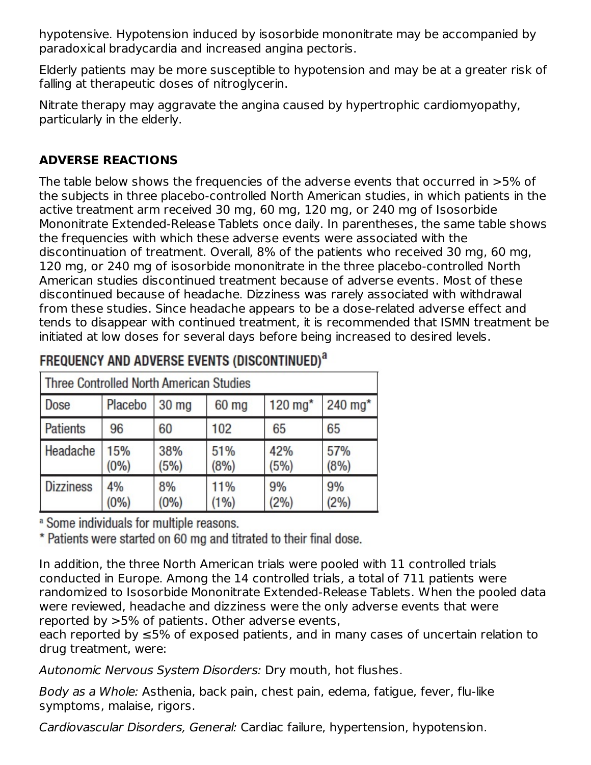hypotensive. Hypotension induced by isosorbide mononitrate may be accompanied by paradoxical bradycardia and increased angina pectoris.

Elderly patients may be more susceptible to hypotension and may be at a greater risk of falling at therapeutic doses of nitroglycerin.

Nitrate therapy may aggravate the angina caused by hypertrophic cardiomyopathy, particularly in the elderly.

## **ADVERSE REACTIONS**

The table below shows the frequencies of the adverse events that occurred in >5% of the subjects in three placebo-controlled North American studies, in which patients in the active treatment arm received 30 mg, 60 mg, 120 mg, or 240 mg of Isosorbide Mononitrate Extended-Release Tablets once daily. In parentheses, the same table shows the frequencies with which these adverse events were associated with the discontinuation of treatment. Overall, 8% of the patients who received 30 mg, 60 mg, 120 mg, or 240 mg of isosorbide mononitrate in the three placebo-controlled North American studies discontinued treatment because of adverse events. Most of these discontinued because of headache. Dizziness was rarely associated with withdrawal from these studies. Since headache appears to be a dose-related adverse effect and tends to disappear with continued treatment, it is recommended that ISMN treatment be initiated at low doses for several days before being increased to desired levels.

| Three Controlled North American Studies |                |                  |              |                       |             |  |
|-----------------------------------------|----------------|------------------|--------------|-----------------------|-------------|--|
| Dose                                    | Placebo        | 30 <sub>mg</sub> | 60 mg        | $120$ mg <sup>*</sup> | 240 mg*     |  |
| <b>Patients</b>                         | 96             | 60               | 102          | 65                    | 65          |  |
| Headache                                | 15%<br>$(0\%)$ | 38%<br>(5%)      | 51%<br>(8%)  | 42%<br>(5%)           | 57%<br>(8%) |  |
| <b>Dizziness</b>                        | 4%<br>$(0\%)$  | 8%<br>(0%        | 11%<br>(1% ) | 9%<br>(2%)            | 9%<br>(2%)  |  |

## FREQUENCY AND ADVERSE EVENTS (DISCONTINUED)<sup>a</sup>

<sup>a</sup> Some individuals for multiple reasons.

\* Patients were started on 60 mg and titrated to their final dose.

In addition, the three North American trials were pooled with 11 controlled trials conducted in Europe. Among the 14 controlled trials, a total of 711 patients were randomized to Isosorbide Mononitrate Extended-Release Tablets. When the pooled data were reviewed, headache and dizziness were the only adverse events that were reported by >5% of patients. Other adverse events,

each reported by ≤5% of exposed patients, and in many cases of uncertain relation to drug treatment, were:

Autonomic Nervous System Disorders: Dry mouth, hot flushes.

Body as a Whole: Asthenia, back pain, chest pain, edema, fatigue, fever, flu-like symptoms, malaise, rigors.

Cardiovascular Disorders, General: Cardiac failure, hypertension, hypotension.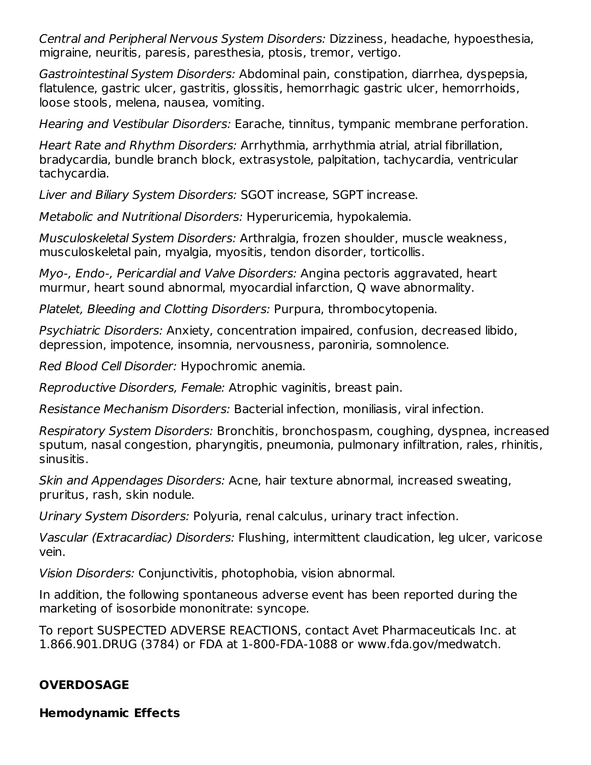Central and Peripheral Nervous System Disorders: Dizziness, headache, hypoesthesia, migraine, neuritis, paresis, paresthesia, ptosis, tremor, vertigo.

Gastrointestinal System Disorders: Abdominal pain, constipation, diarrhea, dyspepsia, flatulence, gastric ulcer, gastritis, glossitis, hemorrhagic gastric ulcer, hemorrhoids, loose stools, melena, nausea, vomiting.

Hearing and Vestibular Disorders: Earache, tinnitus, tympanic membrane perforation.

Heart Rate and Rhythm Disorders: Arrhythmia, arrhythmia atrial, atrial fibrillation, bradycardia, bundle branch block, extrasystole, palpitation, tachycardia, ventricular tachycardia.

Liver and Biliary System Disorders: SGOT increase, SGPT increase.

Metabolic and Nutritional Disorders: Hyperuricemia, hypokalemia.

Musculoskeletal System Disorders: Arthralgia, frozen shoulder, muscle weakness, musculoskeletal pain, myalgia, myositis, tendon disorder, torticollis.

Myo-, Endo-, Pericardial and Valve Disorders: Angina pectoris aggravated, heart murmur, heart sound abnormal, myocardial infarction, Q wave abnormality.

Platelet, Bleeding and Clotting Disorders: Purpura, thrombocytopenia.

Psychiatric Disorders: Anxiety, concentration impaired, confusion, decreased libido, depression, impotence, insomnia, nervousness, paroniria, somnolence.

Red Blood Cell Disorder: Hypochromic anemia.

Reproductive Disorders, Female: Atrophic vaginitis, breast pain.

Resistance Mechanism Disorders: Bacterial infection, moniliasis, viral infection.

Respiratory System Disorders: Bronchitis, bronchospasm, coughing, dyspnea, increased sputum, nasal congestion, pharyngitis, pneumonia, pulmonary infiltration, rales, rhinitis, sinusitis.

Skin and Appendages Disorders: Acne, hair texture abnormal, increased sweating, pruritus, rash, skin nodule.

Urinary System Disorders: Polyuria, renal calculus, urinary tract infection.

Vascular (Extracardiac) Disorders: Flushing, intermittent claudication, leg ulcer, varicose vein.

Vision Disorders: Conjunctivitis, photophobia, vision abnormal.

In addition, the following spontaneous adverse event has been reported during the marketing of isosorbide mononitrate: syncope.

To report SUSPECTED ADVERSE REACTIONS, contact Avet Pharmaceuticals Inc. at 1.866.901.DRUG (3784) or FDA at 1-800-FDA-1088 or www.fda.gov/medwatch.

### **OVERDOSAGE**

**Hemodynamic Effects**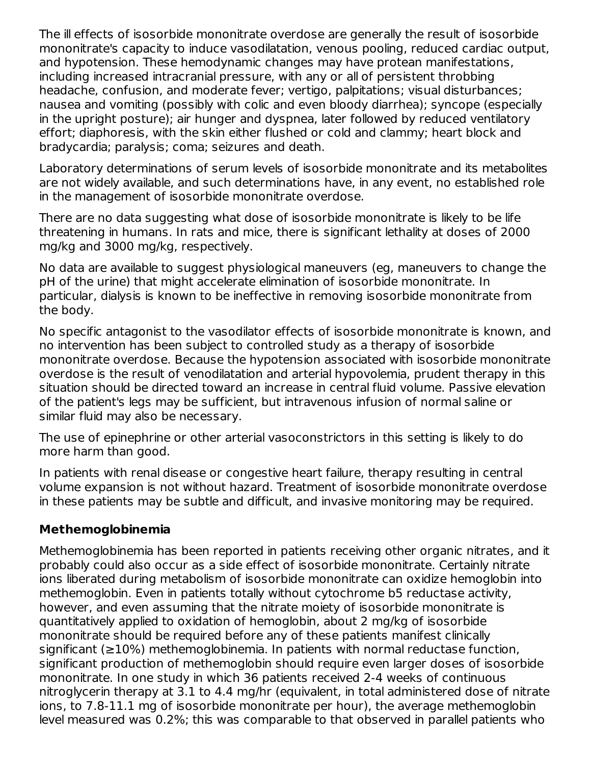The ill effects of isosorbide mononitrate overdose are generally the result of isosorbide mononitrate's capacity to induce vasodilatation, venous pooling, reduced cardiac output, and hypotension. These hemodynamic changes may have protean manifestations, including increased intracranial pressure, with any or all of persistent throbbing headache, confusion, and moderate fever; vertigo, palpitations; visual disturbances; nausea and vomiting (possibly with colic and even bloody diarrhea); syncope (especially in the upright posture); air hunger and dyspnea, later followed by reduced ventilatory effort; diaphoresis, with the skin either flushed or cold and clammy; heart block and bradycardia; paralysis; coma; seizures and death.

Laboratory determinations of serum levels of isosorbide mononitrate and its metabolites are not widely available, and such determinations have, in any event, no established role in the management of isosorbide mononitrate overdose.

There are no data suggesting what dose of isosorbide mononitrate is likely to be life threatening in humans. In rats and mice, there is significant lethality at doses of 2000 mg/kg and 3000 mg/kg, respectively.

No data are available to suggest physiological maneuvers (eg, maneuvers to change the pH of the urine) that might accelerate elimination of isosorbide mononitrate. In particular, dialysis is known to be ineffective in removing isosorbide mononitrate from the body.

No specific antagonist to the vasodilator effects of isosorbide mononitrate is known, and no intervention has been subject to controlled study as a therapy of isosorbide mononitrate overdose. Because the hypotension associated with isosorbide mononitrate overdose is the result of venodilatation and arterial hypovolemia, prudent therapy in this situation should be directed toward an increase in central fluid volume. Passive elevation of the patient's legs may be sufficient, but intravenous infusion of normal saline or similar fluid may also be necessary.

The use of epinephrine or other arterial vasoconstrictors in this setting is likely to do more harm than good.

In patients with renal disease or congestive heart failure, therapy resulting in central volume expansion is not without hazard. Treatment of isosorbide mononitrate overdose in these patients may be subtle and difficult, and invasive monitoring may be required.

### **Methemoglobinemia**

Methemoglobinemia has been reported in patients receiving other organic nitrates, and it probably could also occur as a side effect of isosorbide mononitrate. Certainly nitrate ions liberated during metabolism of isosorbide mononitrate can oxidize hemoglobin into methemoglobin. Even in patients totally without cytochrome b5 reductase activity, however, and even assuming that the nitrate moiety of isosorbide mononitrate is quantitatively applied to oxidation of hemoglobin, about 2 mg/kg of isosorbide mononitrate should be required before any of these patients manifest clinically significant (≥10%) methemoglobinemia. In patients with normal reductase function, significant production of methemoglobin should require even larger doses of isosorbide mononitrate. In one study in which 36 patients received 2-4 weeks of continuous nitroglycerin therapy at 3.1 to 4.4 mg/hr (equivalent, in total administered dose of nitrate ions, to 7.8-11.1 mg of isosorbide mononitrate per hour), the average methemoglobin level measured was 0.2%; this was comparable to that observed in parallel patients who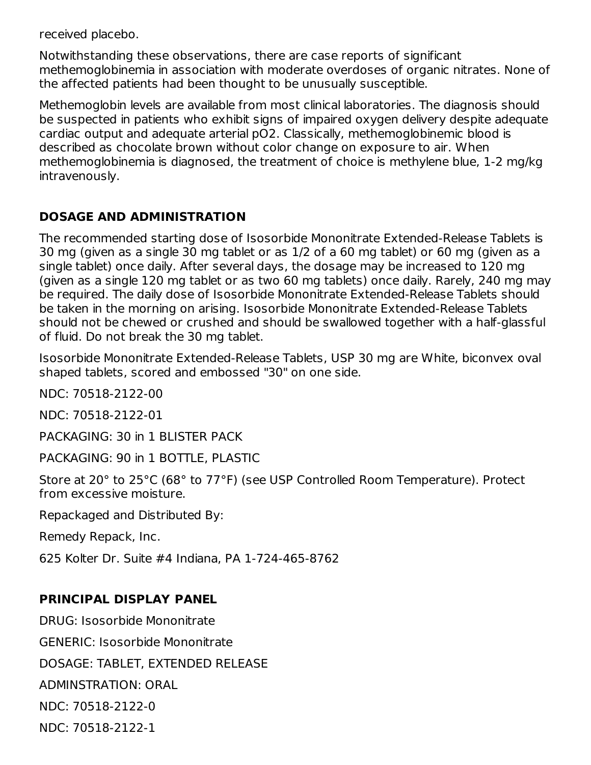received placebo.

Notwithstanding these observations, there are case reports of significant methemoglobinemia in association with moderate overdoses of organic nitrates. None of the affected patients had been thought to be unusually susceptible.

Methemoglobin levels are available from most clinical laboratories. The diagnosis should be suspected in patients who exhibit signs of impaired oxygen delivery despite adequate cardiac output and adequate arterial pO2. Classically, methemoglobinemic blood is described as chocolate brown without color change on exposure to air. When methemoglobinemia is diagnosed, the treatment of choice is methylene blue, 1-2 mg/kg intravenously.

#### **DOSAGE AND ADMINISTRATION**

The recommended starting dose of Isosorbide Mononitrate Extended-Release Tablets is 30 mg (given as a single 30 mg tablet or as 1/2 of a 60 mg tablet) or 60 mg (given as a single tablet) once daily. After several days, the dosage may be increased to 120 mg (given as a single 120 mg tablet or as two 60 mg tablets) once daily. Rarely, 240 mg may be required. The daily dose of Isosorbide Mononitrate Extended-Release Tablets should be taken in the morning on arising. Isosorbide Mononitrate Extended-Release Tablets should not be chewed or crushed and should be swallowed together with a half-glassful of fluid. Do not break the 30 mg tablet.

Isosorbide Mononitrate Extended-Release Tablets, USP 30 mg are White, biconvex oval shaped tablets, scored and embossed "30" on one side.

NDC: 70518-2122-00

NDC: 70518-2122-01

PACKAGING: 30 in 1 BLISTER PACK

PACKAGING: 90 in 1 BOTTLE, PLASTIC

Store at 20° to 25°C (68° to 77°F) (see USP Controlled Room Temperature). Protect from excessive moisture.

Repackaged and Distributed By:

Remedy Repack, Inc.

625 Kolter Dr. Suite #4 Indiana, PA 1-724-465-8762

#### **PRINCIPAL DISPLAY PANEL**

DRUG: Isosorbide Mononitrate

GENERIC: Isosorbide Mononitrate

DOSAGE: TABLET, EXTENDED RELEASE

ADMINSTRATION: ORAL

NDC: 70518-2122-0

NDC: 70518-2122-1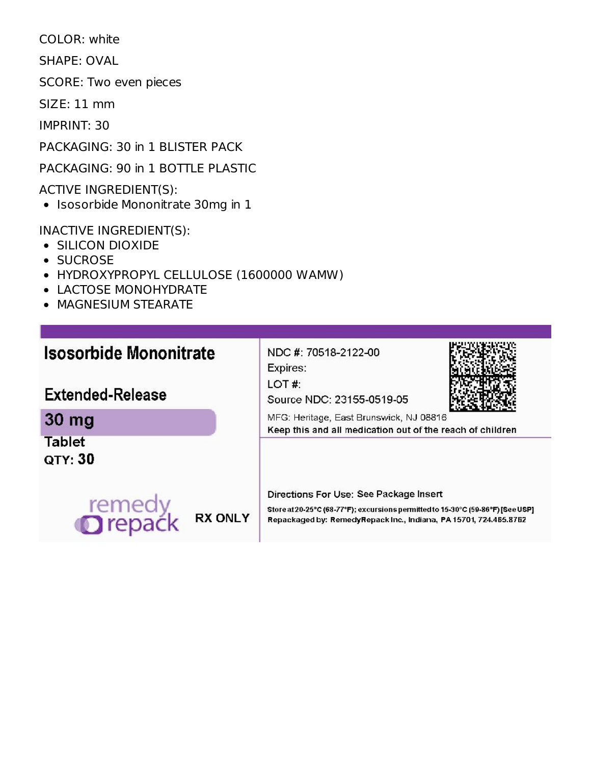COLOR: white

SHAPE: OVAL

SCORE: Two even pieces

SIZE: 11 mm

IMPRINT: 30

PACKAGING: 30 in 1 BLISTER PACK

PACKAGING: 90 in 1 BOTTLE PLASTIC

ACTIVE INGREDIENT(S):

• Isosorbide Mononitrate 30mg in 1

INACTIVE INGREDIENT(S):

- SILICON DIOXIDE
- SUCROSE
- HYDROXYPROPYL CELLULOSE (1600000 WAMW)
- LACTOSE MONOHYDRATE
- **MAGNESIUM STEARATE**

**Extended-Release** 

# **Isosorbide Mononitrate**

Expires: LOT#:

NDC #: 70518-2122-00



Source NDC: 23155-0519-05

30 mg **Tablet** 

QTY: 30



Directions For Use: See Package Insert

Store at 20-25°C (68-77°F); excursions permitted to 15-30°C (59-86°F) [See USP] Repackaged by: RemedyRepack Inc., Indiana, PA 15701, 724.465.8762

Keep this and all medication out of the reach of children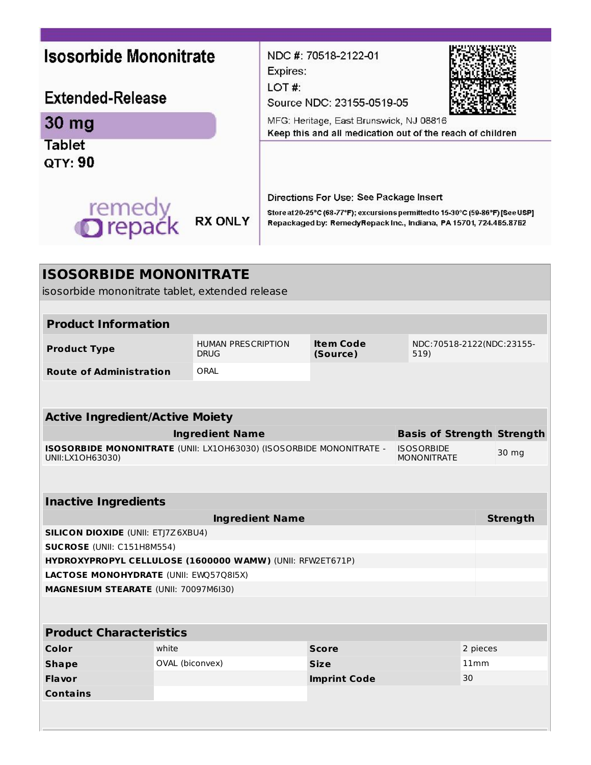| <b>Isosorbide Mononitrate</b>                                                                       |                 | NDC #: 70518-2122-01<br>Expires:<br>LOT#:                                                            |                                                                                                                                                                                                |                                                                                          |                                   |          |                 |  |
|-----------------------------------------------------------------------------------------------------|-----------------|------------------------------------------------------------------------------------------------------|------------------------------------------------------------------------------------------------------------------------------------------------------------------------------------------------|------------------------------------------------------------------------------------------|-----------------------------------|----------|-----------------|--|
| <b>Extended-Release</b>                                                                             |                 | Source NDC: 23155-0519-05                                                                            |                                                                                                                                                                                                |                                                                                          |                                   |          |                 |  |
| 30 mg                                                                                               |                 | MFG: Heritage, East Brunswick, NJ 08816<br>Keep this and all medication out of the reach of children |                                                                                                                                                                                                |                                                                                          |                                   |          |                 |  |
| <b>Tablet</b><br>QTY: 90                                                                            |                 |                                                                                                      |                                                                                                                                                                                                |                                                                                          |                                   |          |                 |  |
| remedy<br><b>O</b> repack                                                                           |                 | <b>RX ONLY</b>                                                                                       | Directions For Use: See Package Insert<br>Store at 20-25°C (68-77°F); excursions permitted to 15-30°C (59-86°F) [See USP]<br>Repackaged by: RemedyRepack Inc., Indiana, PA 15701, 724.465.8762 |                                                                                          |                                   |          |                 |  |
| <b>ISOSORBIDE MONONITRATE</b>                                                                       |                 |                                                                                                      |                                                                                                                                                                                                |                                                                                          |                                   |          |                 |  |
| isosorbide mononitrate tablet, extended release                                                     |                 |                                                                                                      |                                                                                                                                                                                                |                                                                                          |                                   |          |                 |  |
| <b>Product Information</b>                                                                          |                 |                                                                                                      |                                                                                                                                                                                                |                                                                                          |                                   |          |                 |  |
| <b>Product Type</b>                                                                                 |                 | <b>HUMAN PRESCRIPTION</b><br><b>DRUG</b>                                                             | <b>Item Code</b><br>NDC:70518-2122(NDC:23155-<br>(Source)<br>519)                                                                                                                              |                                                                                          |                                   |          |                 |  |
| <b>Route of Administration</b>                                                                      |                 | ORAL                                                                                                 |                                                                                                                                                                                                |                                                                                          |                                   |          |                 |  |
|                                                                                                     |                 |                                                                                                      |                                                                                                                                                                                                |                                                                                          |                                   |          |                 |  |
|                                                                                                     |                 |                                                                                                      |                                                                                                                                                                                                |                                                                                          |                                   |          |                 |  |
| <b>Active Ingredient/Active Moiety</b>                                                              |                 | <b>Ingredient Name</b>                                                                               |                                                                                                                                                                                                |                                                                                          | <b>Basis of Strength Strength</b> |          |                 |  |
|                                                                                                     |                 |                                                                                                      |                                                                                                                                                                                                | ISOSORBIDE MONONITRATE (UNII: LX10H63030) (ISOSORBIDE MONONITRATE -<br><b>ISOSORBIDE</b> |                                   |          | 30 mg           |  |
| UNII:LX1OH63030)                                                                                    |                 |                                                                                                      |                                                                                                                                                                                                | <b>MONONITRATE</b>                                                                       |                                   |          |                 |  |
|                                                                                                     |                 |                                                                                                      |                                                                                                                                                                                                |                                                                                          |                                   |          |                 |  |
| <b>Inactive Ingredients</b>                                                                         |                 |                                                                                                      |                                                                                                                                                                                                |                                                                                          |                                   |          |                 |  |
|                                                                                                     |                 | <b>Ingredient Name</b>                                                                               |                                                                                                                                                                                                |                                                                                          |                                   |          | <b>Strength</b> |  |
| <b>SILICON DIOXIDE (UNII: ETJ7Z6XBU4)</b>                                                           |                 |                                                                                                      |                                                                                                                                                                                                |                                                                                          |                                   |          |                 |  |
| SUCROSE (UNII: C151H8M554)                                                                          |                 |                                                                                                      |                                                                                                                                                                                                |                                                                                          |                                   |          |                 |  |
| HYDROXYPROPYL CELLULOSE (1600000 WAMW) (UNII: RFW2ET671P)<br>LACTOSE MONOHYDRATE (UNII: EWQ57Q8I5X) |                 |                                                                                                      |                                                                                                                                                                                                |                                                                                          |                                   |          |                 |  |
| MAGNESIUM STEARATE (UNII: 70097M6I30)                                                               |                 |                                                                                                      |                                                                                                                                                                                                |                                                                                          |                                   |          |                 |  |
|                                                                                                     |                 |                                                                                                      |                                                                                                                                                                                                |                                                                                          |                                   |          |                 |  |
| <b>Product Characteristics</b>                                                                      |                 |                                                                                                      |                                                                                                                                                                                                |                                                                                          |                                   |          |                 |  |
| Color                                                                                               | white           |                                                                                                      |                                                                                                                                                                                                | <b>Score</b>                                                                             |                                   | 2 pieces |                 |  |
| <b>Shape</b>                                                                                        | OVAL (biconvex) |                                                                                                      | <b>Size</b>                                                                                                                                                                                    |                                                                                          |                                   |          | 11mm            |  |
| Flavor                                                                                              |                 |                                                                                                      |                                                                                                                                                                                                | <b>Imprint Code</b>                                                                      |                                   | 30       |                 |  |
| <b>Contains</b>                                                                                     |                 |                                                                                                      |                                                                                                                                                                                                |                                                                                          |                                   |          |                 |  |
|                                                                                                     |                 |                                                                                                      |                                                                                                                                                                                                |                                                                                          |                                   |          |                 |  |